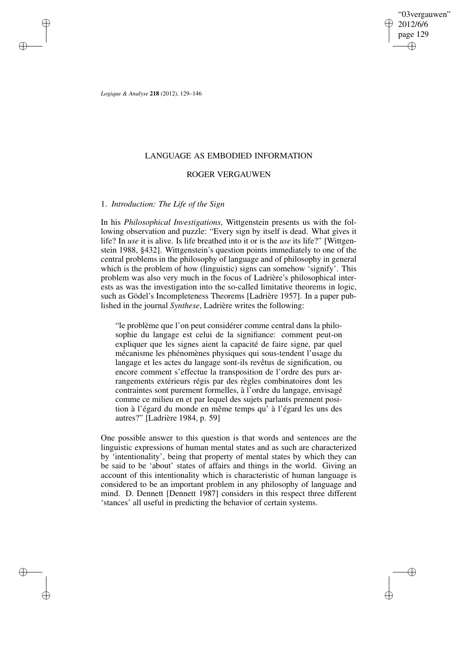"03vergauwen" 2012/6/6 page 129 ✐ ✐

✐

✐

*Logique & Analyse* **218** (2012), 129–146

 $\rightarrow$ 

 $\rightarrow$ 

✐

✐

## LANGUAGE AS EMBODIED INFORMATION

## ROGER VERGAUWEN

## 1. *Introduction: The Life of the Sign*

In his *Philosophical Investigations*, Wittgenstein presents us with the following observation and puzzle: "Every sign by itself is dead. What gives it life? In *use* it is alive. Is life breathed into it or is the *use* its life?" [Wittgenstein 1988, §432]. Wittgenstein's question points immediately to one of the central problems in the philosophy of language and of philosophy in general which is the problem of how (linguistic) signs can somehow 'signify'. This problem was also very much in the focus of Ladrière's philosophical interests as was the investigation into the so-called limitative theorems in logic, such as Gödel's Incompleteness Theorems [Ladrière 1957]. In a paper published in the journal *Synthese*, Ladrière writes the following:

"le problème que l'on peut considérer comme central dans la philosophie du langage est celui de la signifiance: comment peut-on expliquer que les signes aient la capacité de faire signe, par quel mécanisme les phénomènes physiques qui sous-tendent l'usage du langage et les actes du langage sont-ils revêtus de signification, ou encore comment s'effectue la transposition de l'ordre des purs arrangements extérieurs régis par des règles combinatoires dont les contraintes sont purement formelles, à l'ordre du langage, envisagé comme ce milieu en et par lequel des sujets parlants prennent position à l'égard du monde en même temps qu' à l'égard les uns des autres?" [Ladrière 1984, p. 59]

One possible answer to this question is that words and sentences are the linguistic expressions of human mental states and as such are characterized by 'intentionality', being that property of mental states by which they can be said to be 'about' states of affairs and things in the world. Giving an account of this intentionality which is characteristic of human language is considered to be an important problem in any philosophy of language and mind. D. Dennett [Dennett 1987] considers in this respect three different 'stances' all useful in predicting the behavior of certain systems.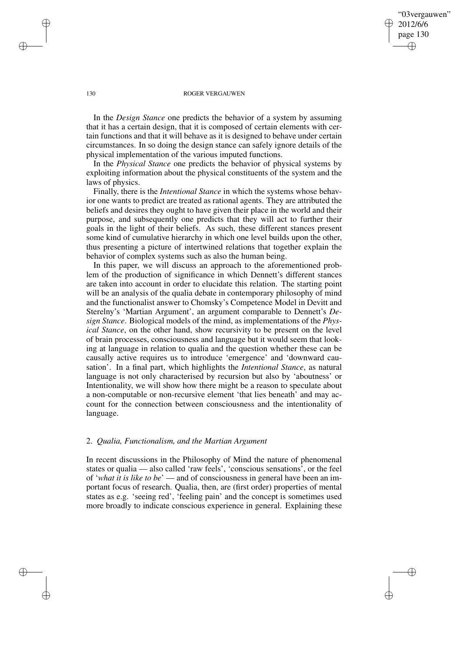"03vergauwen" 2012/6/6 page 130 ✐ ✐

✐

✐

#### 130 ROGER VERGAUWEN

In the *Design Stance* one predicts the behavior of a system by assuming that it has a certain design, that it is composed of certain elements with certain functions and that it will behave as it is designed to behave under certain circumstances. In so doing the design stance can safely ignore details of the physical implementation of the various imputed functions.

In the *Physical Stance* one predicts the behavior of physical systems by exploiting information about the physical constituents of the system and the laws of physics.

Finally, there is the *Intentional Stance* in which the systems whose behavior one wants to predict are treated as rational agents. They are attributed the beliefs and desires they ought to have given their place in the world and their purpose, and subsequently one predicts that they will act to further their goals in the light of their beliefs. As such, these different stances present some kind of cumulative hierarchy in which one level builds upon the other, thus presenting a picture of intertwined relations that together explain the behavior of complex systems such as also the human being.

In this paper, we will discuss an approach to the aforementioned problem of the production of significance in which Dennett's different stances are taken into account in order to elucidate this relation. The starting point will be an analysis of the qualia debate in contemporary philosophy of mind and the functionalist answer to Chomsky's Competence Model in Devitt and Sterelny's 'Martian Argument', an argument comparable to Dennett's *Design Stance*. Biological models of the mind, as implementations of the *Physical Stance*, on the other hand, show recursivity to be present on the level of brain processes, consciousness and language but it would seem that looking at language in relation to qualia and the question whether these can be causally active requires us to introduce 'emergence' and 'downward causation'. In a final part, which highlights the *Intentional Stance*, as natural language is not only characterised by recursion but also by 'aboutness' or Intentionality, we will show how there might be a reason to speculate about a non-computable or non-recursive element 'that lies beneath' and may account for the connection between consciousness and the intentionality of language.

## 2. *Qualia, Functionalism, and the Martian Argument*

In recent discussions in the Philosophy of Mind the nature of phenomenal states or qualia — also called 'raw feels', 'conscious sensations', or the feel of '*what it is like to be*' — and of consciousness in general have been an important focus of research. Qualia, then, are (first order) properties of mental states as e.g. 'seeing red', 'feeling pain' and the concept is sometimes used more broadly to indicate conscious experience in general. Explaining these

✐

✐

✐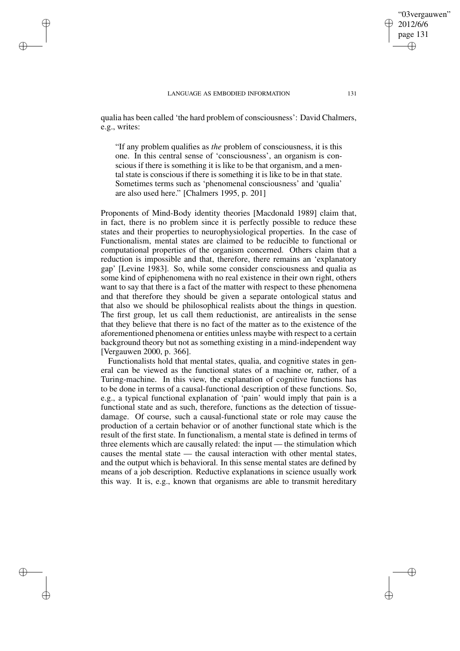✐

✐

✐

✐

qualia has been called 'the hard problem of consciousness': David Chalmers, e.g., writes:

"If any problem qualifies as *the* problem of consciousness, it is this one. In this central sense of 'consciousness', an organism is conscious if there is something it is like to be that organism, and a mental state is conscious if there is something it is like to be in that state. Sometimes terms such as 'phenomenal consciousness' and 'qualia' are also used here." [Chalmers 1995, p. 201]

Proponents of Mind-Body identity theories [Macdonald 1989] claim that, in fact, there is no problem since it is perfectly possible to reduce these states and their properties to neurophysiological properties. In the case of Functionalism, mental states are claimed to be reducible to functional or computational properties of the organism concerned. Others claim that a reduction is impossible and that, therefore, there remains an 'explanatory gap' [Levine 1983]. So, while some consider consciousness and qualia as some kind of epiphenomena with no real existence in their own right, others want to say that there is a fact of the matter with respect to these phenomena and that therefore they should be given a separate ontological status and that also we should be philosophical realists about the things in question. The first group, let us call them reductionist, are antirealists in the sense that they believe that there is no fact of the matter as to the existence of the aforementioned phenomena or entities unless maybe with respect to a certain background theory but not as something existing in a mind-independent way [Vergauwen 2000, p. 366].

Functionalists hold that mental states, qualia, and cognitive states in general can be viewed as the functional states of a machine or, rather, of a Turing-machine. In this view, the explanation of cognitive functions has to be done in terms of a causal-functional description of these functions. So, e.g., a typical functional explanation of 'pain' would imply that pain is a functional state and as such, therefore, functions as the detection of tissuedamage. Of course, such a causal-functional state or role may cause the production of a certain behavior or of another functional state which is the result of the first state. In functionalism, a mental state is defined in terms of three elements which are causally related: the input — the stimulation which causes the mental state — the causal interaction with other mental states, and the output which is behavioral. In this sense mental states are defined by means of a job description. Reductive explanations in science usually work this way. It is, e.g., known that organisms are able to transmit hereditary

"03vergauwen" 2012/6/6 page 131

✐

✐

✐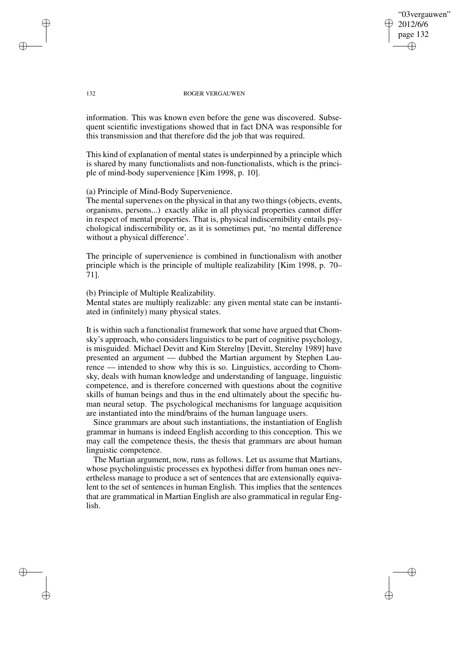## "03vergauwen" 2012/6/6 page 132 ✐ ✐

✐

✐

#### 132 ROGER VERGAUWEN

information. This was known even before the gene was discovered. Subsequent scientific investigations showed that in fact DNA was responsible for this transmission and that therefore did the job that was required.

This kind of explanation of mental states is underpinned by a principle which is shared by many functionalists and non-functionalists, which is the principle of mind-body supervenience [Kim 1998, p. 10].

(a) Principle of Mind-Body Supervenience.

The mental supervenes on the physical in that any two things (objects, events, organisms, persons...) exactly alike in all physical properties cannot differ in respect of mental properties. That is, physical indiscernibility entails psychological indiscernibility or, as it is sometimes put, 'no mental difference without a physical difference'.

The principle of supervenience is combined in functionalism with another principle which is the principle of multiple realizability [Kim 1998, p. 70– 71].

(b) Principle of Multiple Realizability.

Mental states are multiply realizable: any given mental state can be instantiated in (infinitely) many physical states.

It is within such a functionalist framework that some have argued that Chomsky's approach, who considers linguistics to be part of cognitive psychology, is misguided. Michael Devitt and Kim Sterelny [Devitt, Sterelny 1989] have presented an argument — dubbed the Martian argument by Stephen Laurence — intended to show why this is so. Linguistics, according to Chomsky, deals with human knowledge and understanding of language, linguistic competence, and is therefore concerned with questions about the cognitive skills of human beings and thus in the end ultimately about the specific human neural setup. The psychological mechanisms for language acquisition are instantiated into the mind/brains of the human language users.

Since grammars are about such instantiations, the instantiation of English grammar in humans is indeed English according to this conception. This we may call the competence thesis, the thesis that grammars are about human linguistic competence.

The Martian argument, now, runs as follows. Let us assume that Martians, whose psycholinguistic processes ex hypothesi differ from human ones nevertheless manage to produce a set of sentences that are extensionally equivalent to the set of sentences in human English. This implies that the sentences that are grammatical in Martian English are also grammatical in regular English.

✐

✐

✐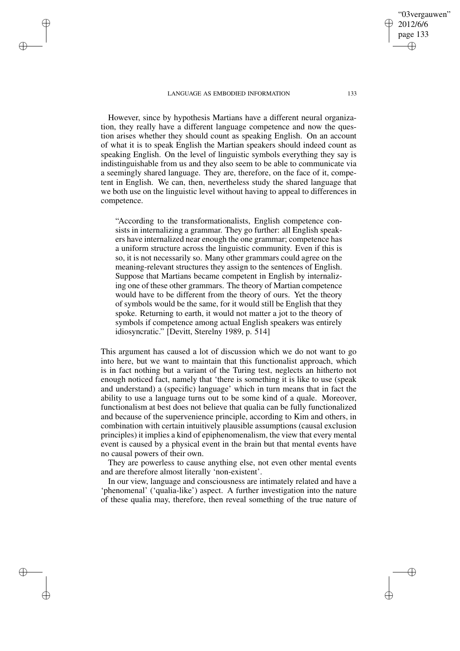✐

✐

✐

✐

However, since by hypothesis Martians have a different neural organization, they really have a different language competence and now the question arises whether they should count as speaking English. On an account of what it is to speak English the Martian speakers should indeed count as speaking English. On the level of linguistic symbols everything they say is indistinguishable from us and they also seem to be able to communicate via a seemingly shared language. They are, therefore, on the face of it, competent in English. We can, then, nevertheless study the shared language that we both use on the linguistic level without having to appeal to differences in competence.

"According to the transformationalists, English competence consists in internalizing a grammar. They go further: all English speakers have internalized near enough the one grammar; competence has a uniform structure across the linguistic community. Even if this is so, it is not necessarily so. Many other grammars could agree on the meaning-relevant structures they assign to the sentences of English. Suppose that Martians became competent in English by internalizing one of these other grammars. The theory of Martian competence would have to be different from the theory of ours. Yet the theory of symbols would be the same, for it would still be English that they spoke. Returning to earth, it would not matter a jot to the theory of symbols if competence among actual English speakers was entirely idiosyncratic." [Devitt, Sterelny 1989, p. 514]

This argument has caused a lot of discussion which we do not want to go into here, but we want to maintain that this functionalist approach, which is in fact nothing but a variant of the Turing test, neglects an hitherto not enough noticed fact, namely that 'there is something it is like to use (speak and understand) a (specific) language' which in turn means that in fact the ability to use a language turns out to be some kind of a quale. Moreover, functionalism at best does not believe that qualia can be fully functionalized and because of the supervenience principle, according to Kim and others, in combination with certain intuitively plausible assumptions (causal exclusion principles) it implies a kind of epiphenomenalism, the view that every mental event is caused by a physical event in the brain but that mental events have no causal powers of their own.

They are powerless to cause anything else, not even other mental events and are therefore almost literally 'non-existent'.

In our view, language and consciousness are intimately related and have a 'phenomenal' ('qualia-like') aspect. A further investigation into the nature of these qualia may, therefore, then reveal something of the true nature of

"03vergauwen" 2012/6/6 page 133

✐

✐

✐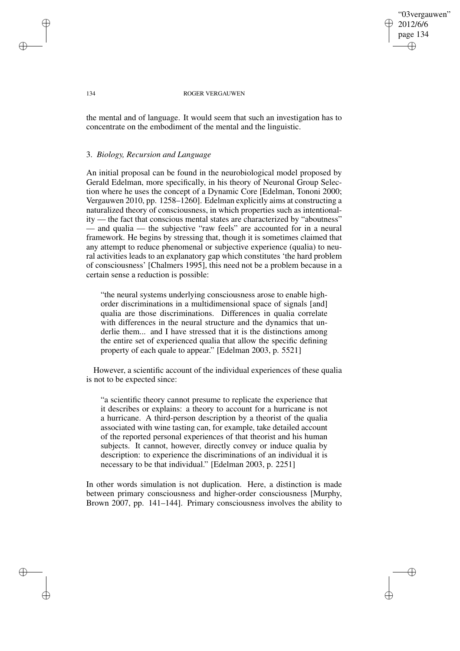"03vergauwen" 2012/6/6 page 134 ✐ ✐

✐

✐

#### 134 ROGER VERGAUWEN

the mental and of language. It would seem that such an investigation has to concentrate on the embodiment of the mental and the linguistic.

## 3. *Biology, Recursion and Language*

An initial proposal can be found in the neurobiological model proposed by Gerald Edelman, more specifically, in his theory of Neuronal Group Selection where he uses the concept of a Dynamic Core [Edelman, Tononi 2000; Vergauwen 2010, pp. 1258–1260]. Edelman explicitly aims at constructing a naturalized theory of consciousness, in which properties such as intentionality — the fact that conscious mental states are characterized by "aboutness" — and qualia — the subjective "raw feels" are accounted for in a neural framework. He begins by stressing that, though it is sometimes claimed that any attempt to reduce phenomenal or subjective experience (qualia) to neural activities leads to an explanatory gap which constitutes 'the hard problem of consciousness' [Chalmers 1995], this need not be a problem because in a certain sense a reduction is possible:

"the neural systems underlying consciousness arose to enable highorder discriminations in a multidimensional space of signals [and] qualia are those discriminations. Differences in qualia correlate with differences in the neural structure and the dynamics that underlie them... and I have stressed that it is the distinctions among the entire set of experienced qualia that allow the specific defining property of each quale to appear." [Edelman 2003, p. 5521]

However, a scientific account of the individual experiences of these qualia is not to be expected since:

"a scientific theory cannot presume to replicate the experience that it describes or explains: a theory to account for a hurricane is not a hurricane. A third-person description by a theorist of the qualia associated with wine tasting can, for example, take detailed account of the reported personal experiences of that theorist and his human subjects. It cannot, however, directly convey or induce qualia by description: to experience the discriminations of an individual it is necessary to be that individual." [Edelman 2003, p. 2251]

In other words simulation is not duplication. Here, a distinction is made between primary consciousness and higher-order consciousness [Murphy, Brown 2007, pp. 141–144]. Primary consciousness involves the ability to

✐

✐

✐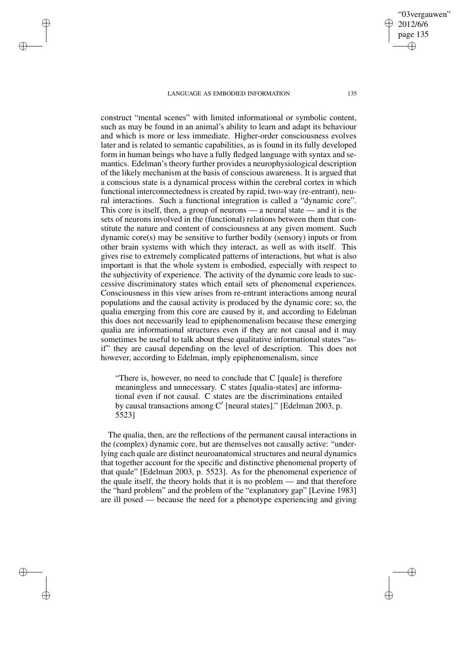✐

✐

✐

✐

construct "mental scenes" with limited informational or symbolic content, such as may be found in an animal's ability to learn and adapt its behaviour and which is more or less immediate. Higher-order consciousness evolves later and is related to semantic capabilities, as is found in its fully developed form in human beings who have a fully fledged language with syntax and semantics. Edelman's theory further provides a neurophysiological description of the likely mechanism at the basis of conscious awareness. It is argued that a conscious state is a dynamical process within the cerebral cortex in which functional interconnectedness is created by rapid, two-way (re-entrant), neural interactions. Such a functional integration is called a "dynamic core". This core is itself, then, a group of neurons — a neural state — and it is the sets of neurons involved in the (functional) relations between them that constitute the nature and content of consciousness at any given moment. Such dynamic core(s) may be sensitive to further bodily (sensory) inputs or from other brain systems with which they interact, as well as with itself. This gives rise to extremely complicated patterns of interactions, but what is also important is that the whole system is embodied, especially with respect to the subjectivity of experience. The activity of the dynamic core leads to successive discriminatory states which entail sets of phenomenal experiences. Consciousness in this view arises from re-entrant interactions among neural populations and the causal activity is produced by the dynamic core; so, the qualia emerging from this core are caused by it, and according to Edelman this does not necessarily lead to epiphenomenalism because these emerging qualia are informational structures even if they are not causal and it may sometimes be useful to talk about these qualitative informational states "asif" they are causal depending on the level of description. This does not however, according to Edelman, imply epiphenomenalism, since

"There is, however, no need to conclude that C [quale] is therefore meaningless and unnecessary. C states [qualia-states] are informational even if not causal. C states are the discriminations entailed by causal transactions among C' [neural states]." [Edelman 2003, p. 5523]

The qualia, then, are the reflections of the permanent causal interactions in the (complex) dynamic core, but are themselves not causally active: "underlying each quale are distinct neuroanatomical structures and neural dynamics that together account for the specific and distinctive phenomenal property of that quale" [Edelman 2003, p. 5523]. As for the phenomenal experience of the quale itself, the theory holds that it is no problem — and that therefore the "hard problem" and the problem of the "explanatory gap" [Levine 1983] are ill posed — because the need for a phenotype experiencing and giving

"03vergauwen" 2012/6/6 page 135

✐

✐

✐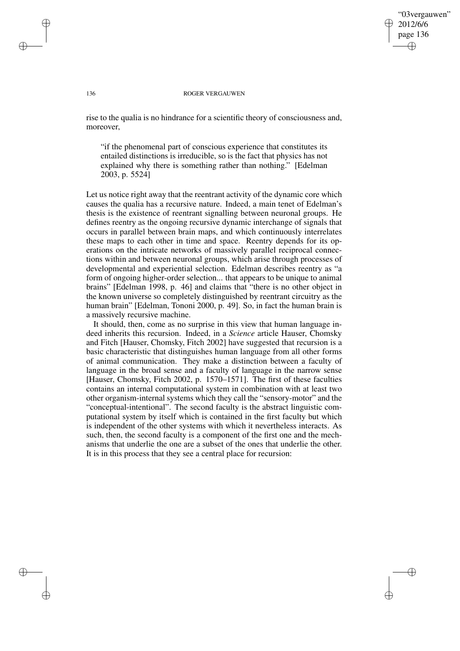"03vergauwen" 2012/6/6 page 136 ✐ ✐

✐

✐

#### 136 ROGER VERGAUWEN

rise to the qualia is no hindrance for a scientific theory of consciousness and, moreover,

"if the phenomenal part of conscious experience that constitutes its entailed distinctions is irreducible, so is the fact that physics has not explained why there is something rather than nothing." [Edelman 2003, p. 5524]

Let us notice right away that the reentrant activity of the dynamic core which causes the qualia has a recursive nature. Indeed, a main tenet of Edelman's thesis is the existence of reentrant signalling between neuronal groups. He defines reentry as the ongoing recursive dynamic interchange of signals that occurs in parallel between brain maps, and which continuously interrelates these maps to each other in time and space. Reentry depends for its operations on the intricate networks of massively parallel reciprocal connections within and between neuronal groups, which arise through processes of developmental and experiential selection. Edelman describes reentry as "a form of ongoing higher-order selection... that appears to be unique to animal brains" [Edelman 1998, p. 46] and claims that "there is no other object in the known universe so completely distinguished by reentrant circuitry as the human brain" [Edelman, Tononi 2000, p. 49]. So, in fact the human brain is a massively recursive machine.

It should, then, come as no surprise in this view that human language indeed inherits this recursion. Indeed, in a *Science* article Hauser, Chomsky and Fitch [Hauser, Chomsky, Fitch 2002] have suggested that recursion is a basic characteristic that distinguishes human language from all other forms of animal communication. They make a distinction between a faculty of language in the broad sense and a faculty of language in the narrow sense [Hauser, Chomsky, Fitch 2002, p. 1570–1571]. The first of these faculties contains an internal computational system in combination with at least two other organism-internal systems which they call the "sensory-motor" and the "conceptual-intentional". The second faculty is the abstract linguistic computational system by itself which is contained in the first faculty but which is independent of the other systems with which it nevertheless interacts. As such, then, the second faculty is a component of the first one and the mechanisms that underlie the one are a subset of the ones that underlie the other. It is in this process that they see a central place for recursion:

✐

✐

✐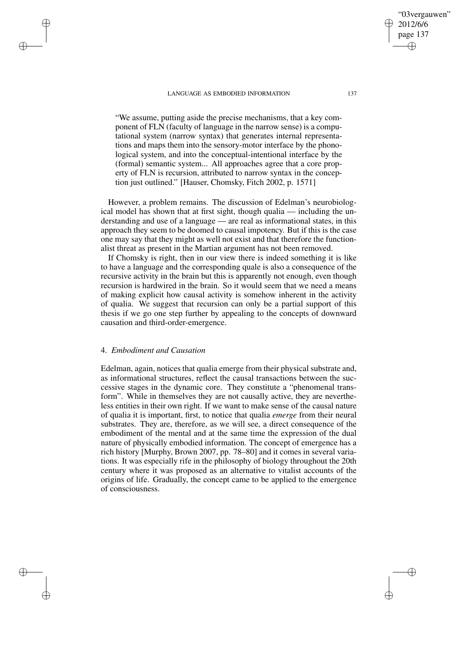"We assume, putting aside the precise mechanisms, that a key component of FLN (faculty of language in the narrow sense) is a computational system (narrow syntax) that generates internal representations and maps them into the sensory-motor interface by the phonological system, and into the conceptual-intentional interface by the (formal) semantic system... All approaches agree that a core property of FLN is recursion, attributed to narrow syntax in the conception just outlined." [Hauser, Chomsky, Fitch 2002, p. 1571]

However, a problem remains. The discussion of Edelman's neurobiological model has shown that at first sight, though qualia — including the understanding and use of a language — are real as informational states, in this approach they seem to be doomed to causal impotency. But if this is the case one may say that they might as well not exist and that therefore the functionalist threat as present in the Martian argument has not been removed.

If Chomsky is right, then in our view there is indeed something it is like to have a language and the corresponding quale is also a consequence of the recursive activity in the brain but this is apparently not enough, even though recursion is hardwired in the brain. So it would seem that we need a means of making explicit how causal activity is somehow inherent in the activity of qualia. We suggest that recursion can only be a partial support of this thesis if we go one step further by appealing to the concepts of downward causation and third-order-emergence.

# 4. *Embodiment and Causation*

✐

✐

✐

✐

Edelman, again, notices that qualia emerge from their physical substrate and, as informational structures, reflect the causal transactions between the successive stages in the dynamic core. They constitute a "phenomenal transform". While in themselves they are not causally active, they are nevertheless entities in their own right. If we want to make sense of the causal nature of qualia it is important, first, to notice that qualia *emerge* from their neural substrates. They are, therefore, as we will see, a direct consequence of the embodiment of the mental and at the same time the expression of the dual nature of physically embodied information. The concept of emergence has a rich history [Murphy, Brown 2007, pp. 78–80] and it comes in several variations. It was especially rife in the philosophy of biology throughout the 20th century where it was proposed as an alternative to vitalist accounts of the origins of life. Gradually, the concept came to be applied to the emergence of consciousness.

"03vergauwen" 2012/6/6 page 137

✐

✐

✐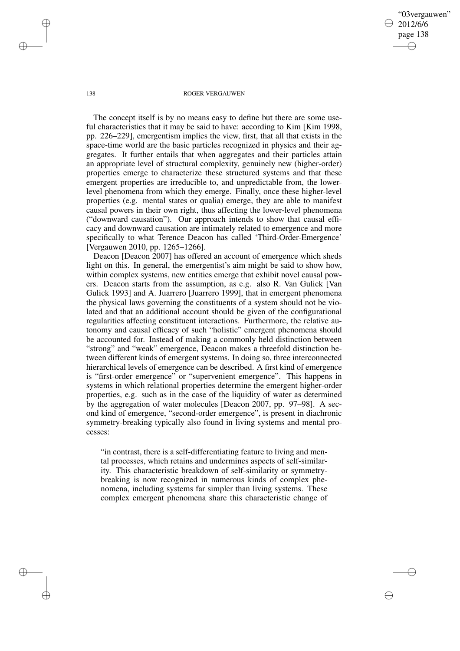✐

✐

#### 138 ROGER VERGAUWEN

The concept itself is by no means easy to define but there are some useful characteristics that it may be said to have: according to Kim [Kim 1998, pp. 226–229], emergentism implies the view, first, that all that exists in the space-time world are the basic particles recognized in physics and their aggregates. It further entails that when aggregates and their particles attain an appropriate level of structural complexity, genuinely new (higher-order) properties emerge to characterize these structured systems and that these emergent properties are irreducible to, and unpredictable from, the lowerlevel phenomena from which they emerge. Finally, once these higher-level properties (e.g. mental states or qualia) emerge, they are able to manifest causal powers in their own right, thus affecting the lower-level phenomena ("downward causation"). Our approach intends to show that causal efficacy and downward causation are intimately related to emergence and more specifically to what Terence Deacon has called 'Third-Order-Emergence' [Vergauwen 2010, pp. 1265–1266].

Deacon [Deacon 2007] has offered an account of emergence which sheds light on this. In general, the emergentist's aim might be said to show how, within complex systems, new entities emerge that exhibit novel causal powers. Deacon starts from the assumption, as e.g. also R. Van Gulick [Van Gulick 1993] and A. Juarrero [Juarrero 1999], that in emergent phenomena the physical laws governing the constituents of a system should not be violated and that an additional account should be given of the configurational regularities affecting constituent interactions. Furthermore, the relative autonomy and causal efficacy of such "holistic" emergent phenomena should be accounted for. Instead of making a commonly held distinction between "strong" and "weak" emergence, Deacon makes a threefold distinction between different kinds of emergent systems. In doing so, three interconnected hierarchical levels of emergence can be described. A first kind of emergence is "first-order emergence" or "supervenient emergence". This happens in systems in which relational properties determine the emergent higher-order properties, e.g. such as in the case of the liquidity of water as determined by the aggregation of water molecules [Deacon 2007, pp. 97–98]. A second kind of emergence, "second-order emergence", is present in diachronic symmetry-breaking typically also found in living systems and mental processes:

"in contrast, there is a self-differentiating feature to living and mental processes, which retains and undermines aspects of self-similarity. This characteristic breakdown of self-similarity or symmetrybreaking is now recognized in numerous kinds of complex phenomena, including systems far simpler than living systems. These complex emergent phenomena share this characteristic change of

✐

✐

✐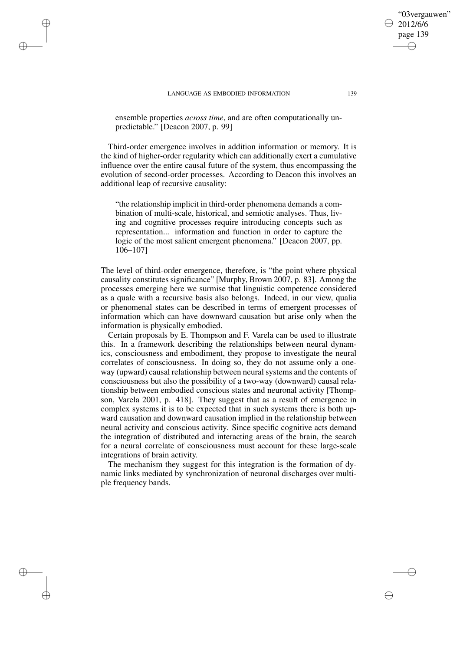✐

✐

✐

✐

✐

"03vergauwen" 2012/6/6 page 139

✐

✐

✐

ensemble properties *across time*, and are often computationally unpredictable." [Deacon 2007, p. 99]

Third-order emergence involves in addition information or memory. It is the kind of higher-order regularity which can additionally exert a cumulative influence over the entire causal future of the system, thus encompassing the evolution of second-order processes. According to Deacon this involves an additional leap of recursive causality:

"the relationship implicit in third-order phenomena demands a combination of multi-scale, historical, and semiotic analyses. Thus, living and cognitive processes require introducing concepts such as representation... information and function in order to capture the logic of the most salient emergent phenomena." [Deacon 2007, pp. 106–107]

The level of third-order emergence, therefore, is "the point where physical causality constitutes significance" [Murphy, Brown 2007, p. 83]. Among the processes emerging here we surmise that linguistic competence considered as a quale with a recursive basis also belongs. Indeed, in our view, qualia or phenomenal states can be described in terms of emergent processes of information which can have downward causation but arise only when the information is physically embodied.

Certain proposals by E. Thompson and F. Varela can be used to illustrate this. In a framework describing the relationships between neural dynamics, consciousness and embodiment, they propose to investigate the neural correlates of consciousness. In doing so, they do not assume only a oneway (upward) causal relationship between neural systems and the contents of consciousness but also the possibility of a two-way (downward) causal relationship between embodied conscious states and neuronal activity [Thompson, Varela 2001, p. 418]. They suggest that as a result of emergence in complex systems it is to be expected that in such systems there is both upward causation and downward causation implied in the relationship between neural activity and conscious activity. Since specific cognitive acts demand the integration of distributed and interacting areas of the brain, the search for a neural correlate of consciousness must account for these large-scale integrations of brain activity.

The mechanism they suggest for this integration is the formation of dynamic links mediated by synchronization of neuronal discharges over multiple frequency bands.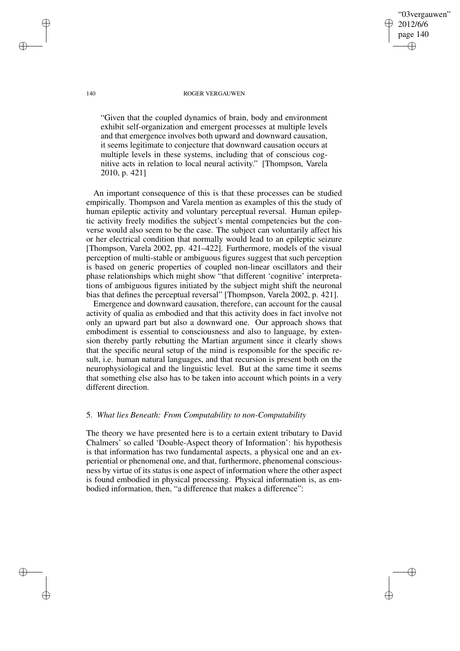"03vergauwen" 2012/6/6 page 140 ✐ ✐

✐

✐

#### 140 ROGER VERGAUWEN

"Given that the coupled dynamics of brain, body and environment exhibit self-organization and emergent processes at multiple levels and that emergence involves both upward and downward causation, it seems legitimate to conjecture that downward causation occurs at multiple levels in these systems, including that of conscious cognitive acts in relation to local neural activity." [Thompson, Varela 2010, p. 421]

An important consequence of this is that these processes can be studied empirically. Thompson and Varela mention as examples of this the study of human epileptic activity and voluntary perceptual reversal. Human epileptic activity freely modifies the subject's mental competencies but the converse would also seem to be the case. The subject can voluntarily affect his or her electrical condition that normally would lead to an epileptic seizure [Thompson, Varela 2002, pp. 421–422]. Furthermore, models of the visual perception of multi-stable or ambiguous figures suggest that such perception is based on generic properties of coupled non-linear oscillators and their phase relationships which might show "that different 'cognitive' interpretations of ambiguous figures initiated by the subject might shift the neuronal bias that defines the perceptual reversal" [Thompson, Varela 2002, p. 421].

Emergence and downward causation, therefore, can account for the causal activity of qualia as embodied and that this activity does in fact involve not only an upward part but also a downward one. Our approach shows that embodiment is essential to consciousness and also to language, by extension thereby partly rebutting the Martian argument since it clearly shows that the specific neural setup of the mind is responsible for the specific result, i.e. human natural languages, and that recursion is present both on the neurophysiological and the linguistic level. But at the same time it seems that something else also has to be taken into account which points in a very different direction.

# 5. *What lies Beneath: From Computability to non-Computability*

The theory we have presented here is to a certain extent tributary to David Chalmers' so called 'Double-Aspect theory of Information': his hypothesis is that information has two fundamental aspects, a physical one and an experiential or phenomenal one, and that, furthermore, phenomenal consciousness by virtue of its status is one aspect of information where the other aspect is found embodied in physical processing. Physical information is, as embodied information, then, "a difference that makes a difference":

✐

✐

✐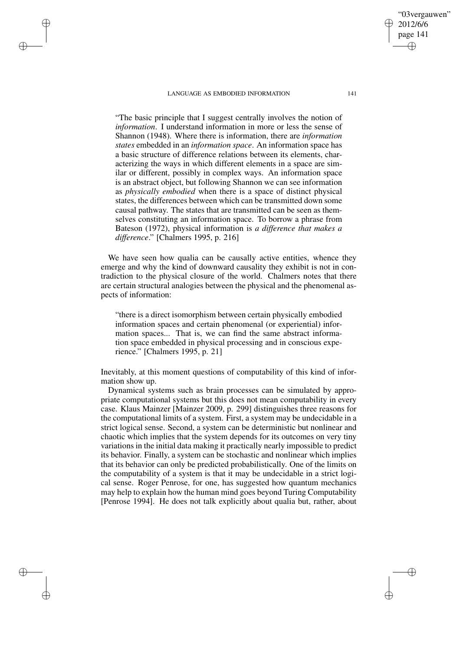✐

✐

✐

✐

"The basic principle that I suggest centrally involves the notion of *information*. I understand information in more or less the sense of Shannon (1948). Where there is information, there are *information states* embedded in an *information space*. An information space has a basic structure of difference relations between its elements, characterizing the ways in which different elements in a space are similar or different, possibly in complex ways. An information space is an abstract object, but following Shannon we can see information as *physically embodied* when there is a space of distinct physical states, the differences between which can be transmitted down some

causal pathway. The states that are transmitted can be seen as themselves constituting an information space. To borrow a phrase from Bateson (1972), physical information is *a difference that makes a difference*." [Chalmers 1995, p. 216]

We have seen how qualia can be causally active entities, whence they emerge and why the kind of downward causality they exhibit is not in contradiction to the physical closure of the world. Chalmers notes that there are certain structural analogies between the physical and the phenomenal aspects of information:

"there is a direct isomorphism between certain physically embodied information spaces and certain phenomenal (or experiential) information spaces... That is, we can find the same abstract information space embedded in physical processing and in conscious experience." [Chalmers 1995, p. 21]

Inevitably, at this moment questions of computability of this kind of information show up.

Dynamical systems such as brain processes can be simulated by appropriate computational systems but this does not mean computability in every case. Klaus Mainzer [Mainzer 2009, p. 299] distinguishes three reasons for the computational limits of a system. First, a system may be undecidable in a strict logical sense. Second, a system can be deterministic but nonlinear and chaotic which implies that the system depends for its outcomes on very tiny variations in the initial data making it practically nearly impossible to predict its behavior. Finally, a system can be stochastic and nonlinear which implies that its behavior can only be predicted probabilistically. One of the limits on the computability of a system is that it may be undecidable in a strict logical sense. Roger Penrose, for one, has suggested how quantum mechanics may help to explain how the human mind goes beyond Turing Computability [Penrose 1994]. He does not talk explicitly about qualia but, rather, about

"03vergauwen" 2012/6/6 page 141

✐

✐

✐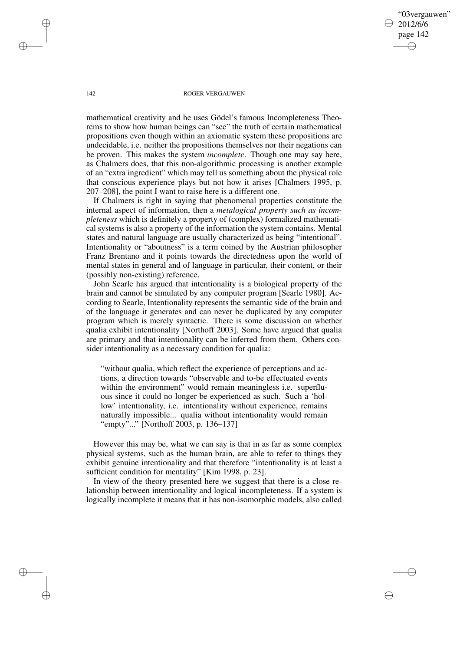"03vergauwen" 2012/6/6 page 142 ✐ ✐

✐

✐

#### 142 ROGER VERGAUWEN

mathematical creativity and he uses Gödel's famous Incompleteness Theorems to show how human beings can "see" the truth of certain mathematical propositions even though within an axiomatic system these propositions are undecidable, i.e. neither the propositions themselves nor their negations can be proven. This makes the system *incomplete*. Though one may say here, as Chalmers does, that this non-algorithmic processing is another example of an "extra ingredient" which may tell us something about the physical role that conscious experience plays but not how it arises [Chalmers 1995, p. 207–208], the point I want to raise here is a different one.

If Chalmers is right in saying that phenomenal properties constitute the internal aspect of information, then a *metalogical property such as incompleteness* which is definitely a property of (complex) formalized mathematical systems is also a property of the information the system contains. Mental states and natural language are usually characterized as being "intentional". Intentionality or "aboutness" is a term coined by the Austrian philosopher Franz Brentano and it points towards the directedness upon the world of mental states in general and of language in particular, their content, or their (possibly non-existing) reference.

John Searle has argued that intentionality is a biological property of the brain and cannot be simulated by any computer program [Searle 1980]. According to Searle, Intentionality represents the semantic side of the brain and of the language it generates and can never be duplicated by any computer program which is merely syntactic. There is some discussion on whether qualia exhibit intentionality [Northoff 2003]. Some have argued that qualia are primary and that intentionality can be inferred from them. Others consider intentionality as a necessary condition for qualia:

"without qualia, which reflect the experience of perceptions and actions, a direction towards "observable and to-be effectuated events within the environment" would remain meaningless i.e. superfluous since it could no longer be experienced as such. Such a 'hollow' intentionality, i.e. intentionality without experience, remains naturally impossible... qualia without intentionality would remain "empty"..." [Northoff 2003, p. 136–137]

However this may be, what we can say is that in as far as some complex physical systems, such as the human brain, are able to refer to things they exhibit genuine intentionality and that therefore "intentionality is at least a sufficient condition for mentality" [Kim 1998, p. 23].

In view of the theory presented here we suggest that there is a close relationship between intentionality and logical incompleteness. If a system is logically incomplete it means that it has non-isomorphic models, also called

✐

✐

✐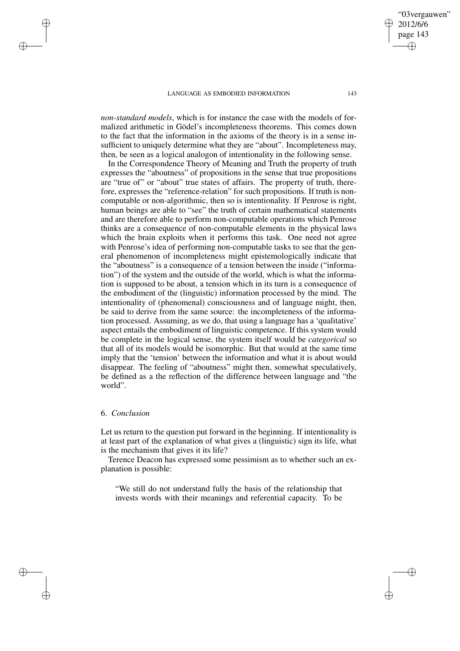*non-standard models*, which is for instance the case with the models of formalized arithmetic in Gödel's incompleteness theorems. This comes down to the fact that the information in the axioms of the theory is in a sense insufficient to uniquely determine what they are "about". Incompleteness may, then, be seen as a logical analogon of intentionality in the following sense.

In the Correspondence Theory of Meaning and Truth the property of truth expresses the "aboutness" of propositions in the sense that true propositions are "true of" or "about" true states of affairs. The property of truth, therefore, expresses the "reference-relation" for such propositions. If truth is noncomputable or non-algorithmic, then so is intentionality. If Penrose is right, human beings are able to "see" the truth of certain mathematical statements and are therefore able to perform non-computable operations which Penrose thinks are a consequence of non-computable elements in the physical laws which the brain exploits when it performs this task. One need not agree with Penrose's idea of performing non-computable tasks to see that the general phenomenon of incompleteness might epistemologically indicate that the "aboutness" is a consequence of a tension between the inside ("information") of the system and the outside of the world, which is what the information is supposed to be about, a tension which in its turn is a consequence of the embodiment of the (linguistic) information processed by the mind. The intentionality of (phenomenal) consciousness and of language might, then, be said to derive from the same source: the incompleteness of the information processed. Assuming, as we do, that using a language has a 'qualitative' aspect entails the embodiment of linguistic competence. If this system would be complete in the logical sense, the system itself would be *categorical* so that all of its models would be isomorphic. But that would at the same time imply that the 'tension' between the information and what it is about would disappear. The feeling of "aboutness" might then, somewhat speculatively, be defined as a the reflection of the difference between language and "the world".

### 6. *Conclusion*

✐

✐

✐

✐

Let us return to the question put forward in the beginning. If intentionality is at least part of the explanation of what gives a (linguistic) sign its life, what is the mechanism that gives it its life?

Terence Deacon has expressed some pessimism as to whether such an explanation is possible:

"We still do not understand fully the basis of the relationship that invests words with their meanings and referential capacity. To be

"03vergauwen" 2012/6/6 page 143

✐

✐

✐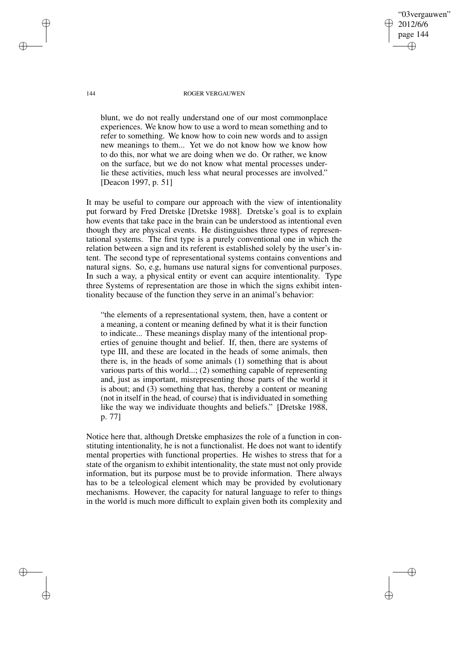# 144 ROGER VERGAUWEN

"03vergauwen" 2012/6/6 page 144

✐

✐

✐

✐

blunt, we do not really understand one of our most commonplace experiences. We know how to use a word to mean something and to refer to something. We know how to coin new words and to assign new meanings to them... Yet we do not know how we know how to do this, nor what we are doing when we do. Or rather, we know on the surface, but we do not know what mental processes underlie these activities, much less what neural processes are involved." [Deacon 1997, p. 51]

It may be useful to compare our approach with the view of intentionality put forward by Fred Dretske [Dretske 1988]. Dretske's goal is to explain how events that take pace in the brain can be understood as intentional even though they are physical events. He distinguishes three types of representational systems. The first type is a purely conventional one in which the relation between a sign and its referent is established solely by the user's intent. The second type of representational systems contains conventions and natural signs. So, e.g, humans use natural signs for conventional purposes. In such a way, a physical entity or event can acquire intentionality. Type three Systems of representation are those in which the signs exhibit intentionality because of the function they serve in an animal's behavior:

"the elements of a representational system, then, have a content or a meaning, a content or meaning defined by what it is their function to indicate... These meanings display many of the intentional properties of genuine thought and belief. If, then, there are systems of type III, and these are located in the heads of some animals, then there is, in the heads of some animals (1) something that is about various parts of this world...; (2) something capable of representing and, just as important, misrepresenting those parts of the world it is about; and (3) something that has, thereby a content or meaning (not in itself in the head, of course) that is individuated in something like the way we individuate thoughts and beliefs." [Dretske 1988, p. 77]

Notice here that, although Dretske emphasizes the role of a function in constituting intentionality, he is not a functionalist. He does not want to identify mental properties with functional properties. He wishes to stress that for a state of the organism to exhibit intentionality, the state must not only provide information, but its purpose must be to provide information. There always has to be a teleological element which may be provided by evolutionary mechanisms. However, the capacity for natural language to refer to things in the world is much more difficult to explain given both its complexity and

✐

✐

✐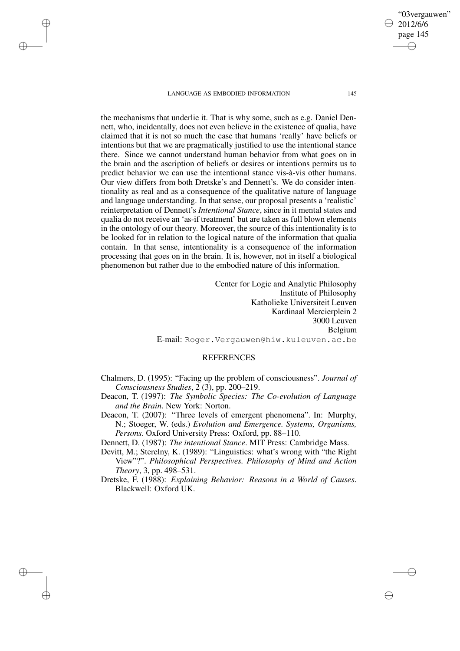✐

✐

✐

✐

the mechanisms that underlie it. That is why some, such as e.g. Daniel Dennett, who, incidentally, does not even believe in the existence of qualia, have claimed that it is not so much the case that humans 'really' have beliefs or intentions but that we are pragmatically justified to use the intentional stance there. Since we cannot understand human behavior from what goes on in the brain and the ascription of beliefs or desires or intentions permits us to predict behavior we can use the intentional stance vis-à-vis other humans. Our view differs from both Dretske's and Dennett's. We do consider intentionality as real and as a consequence of the qualitative nature of language and language understanding. In that sense, our proposal presents a 'realistic' reinterpretation of Dennett's *Intentional Stance*, since in it mental states and qualia do not receive an 'as-if treatment' but are taken as full blown elements in the ontology of our theory. Moreover, the source of this intentionality is to be looked for in relation to the logical nature of the information that qualia contain. In that sense, intentionality is a consequence of the information processing that goes on in the brain. It is, however, not in itself a biological phenomenon but rather due to the embodied nature of this information.

> Center for Logic and Analytic Philosophy Institute of Philosophy Katholieke Universiteit Leuven Kardinaal Mercierplein 2 3000 Leuven Belgium E-mail: Roger.Vergauwen@hiw.kuleuven.ac.be

## REFERENCES

Chalmers, D. (1995): "Facing up the problem of consciousness". *Journal of Consciousness Studies*, 2 (3), pp. 200–219.

Deacon, T. (1997): *The Symbolic Species: The Co-evolution of Language and the Brain*. New York: Norton.

Deacon, T. (2007): "Three levels of emergent phenomena". In: Murphy, N.; Stoeger, W. (eds.) *Evolution and Emergence. Systems, Organisms, Persons*. Oxford University Press: Oxford, pp. 88–110.

Dennett, D. (1987): *The intentional Stance*. MIT Press: Cambridge Mass.

Devitt, M.; Sterelny, K. (1989): "Linguistics: what's wrong with "the Right View"?". *Philosophical Perspectives. Philosophy of Mind and Action Theory*, 3, pp. 498–531.

Dretske, F. (1988): *Explaining Behavior: Reasons in a World of Causes*. Blackwell: Oxford UK.

"03vergauwen" 2012/6/6 page 145

✐

✐

✐